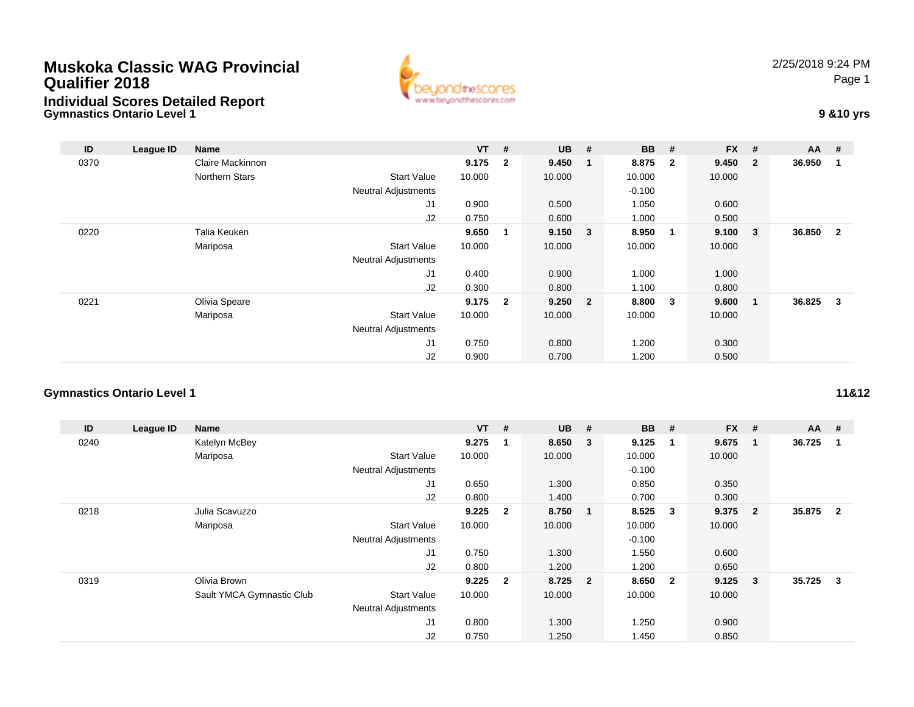## **Muskoka Classic WAG ProvincialQualifier 2018**



2/25/2018 9:24 PMPage 1

## **Gymnastics Ontario Level 1 9 &10 yrs Individual Scores Detailed Report**

| ID   | League ID | Name             |                            | $VT$ # |                         | $UB$ #  |                         | <b>BB</b> | #                       | <b>FX</b> | #                       | $AA$ # |                |
|------|-----------|------------------|----------------------------|--------|-------------------------|---------|-------------------------|-----------|-------------------------|-----------|-------------------------|--------|----------------|
| 0370 |           | Claire Mackinnon |                            | 9.175  | $\overline{\mathbf{2}}$ | 9.450   | -1                      | 8.875     | $\overline{\mathbf{2}}$ | 9.450     | $\overline{\mathbf{2}}$ | 36.950 | 1              |
|      |           | Northern Stars   | <b>Start Value</b>         | 10.000 |                         | 10.000  |                         | 10.000    |                         | 10.000    |                         |        |                |
|      |           |                  | <b>Neutral Adjustments</b> |        |                         |         |                         | $-0.100$  |                         |           |                         |        |                |
|      |           |                  | J1                         | 0.900  |                         | 0.500   |                         | 1.050     |                         | 0.600     |                         |        |                |
|      |           |                  | J2                         | 0.750  |                         | 0.600   |                         | 1.000     |                         | 0.500     |                         |        |                |
| 0220 |           | Talia Keuken     |                            | 9.650  | $\mathbf 1$             | 9.150   | $\overline{\mathbf{3}}$ | 8.950     | $\overline{\mathbf{1}}$ | 9.100     | $\overline{\mathbf{3}}$ | 36.850 | $\overline{2}$ |
|      |           | Mariposa         | Start Value                | 10.000 |                         | 10.000  |                         | 10.000    |                         | 10.000    |                         |        |                |
|      |           |                  | <b>Neutral Adjustments</b> |        |                         |         |                         |           |                         |           |                         |        |                |
|      |           |                  | J1                         | 0.400  |                         | 0.900   |                         | 1.000     |                         | 1.000     |                         |        |                |
|      |           |                  | J2                         | 0.300  |                         | 0.800   |                         | 1.100     |                         | 0.800     |                         |        |                |
| 0221 |           | Olivia Speare    |                            | 9.175  | $\overline{2}$          | 9.250 2 |                         | 8.800     | $\overline{\mathbf{3}}$ | 9.600     | $\overline{\mathbf{1}}$ | 36.825 | 3              |
|      |           | Mariposa         | <b>Start Value</b>         | 10.000 |                         | 10.000  |                         | 10.000    |                         | 10.000    |                         |        |                |
|      |           |                  | <b>Neutral Adjustments</b> |        |                         |         |                         |           |                         |           |                         |        |                |
|      |           |                  | J <sub>1</sub>             | 0.750  |                         | 0.800   |                         | 1.200     |                         | 0.300     |                         |        |                |
|      |           |                  | J2                         | 0.900  |                         | 0.700   |                         | 1.200     |                         | 0.500     |                         |        |                |

## **Gymnastics Ontario Level 1**

| ID   | League ID | Name                      |                            | $VT$ #    |                | <b>UB</b> | #                       | <b>BB</b> | #                       | <b>FX</b> | #              | $AA$ # |                |
|------|-----------|---------------------------|----------------------------|-----------|----------------|-----------|-------------------------|-----------|-------------------------|-----------|----------------|--------|----------------|
| 0240 |           | Katelyn McBey             |                            | 9.275     | 1              | 8.650     | $\overline{\mathbf{3}}$ | 9.125     | -1                      | 9.675     | -1             | 36.725 |                |
|      |           | Mariposa                  | <b>Start Value</b>         | 10.000    |                | 10.000    |                         | 10.000    |                         | 10.000    |                |        |                |
|      |           |                           | <b>Neutral Adjustments</b> |           |                |           |                         | $-0.100$  |                         |           |                |        |                |
|      |           |                           | J1                         | 0.650     |                | 1.300     |                         | 0.850     |                         | 0.350     |                |        |                |
|      |           |                           | J2                         | 0.800     |                | 1.400     |                         | 0.700     |                         | 0.300     |                |        |                |
| 0218 |           | Julia Scavuzzo            |                            | 9.225     | $\overline{2}$ | 8.750     | $\overline{\mathbf{1}}$ | 8.525     | $\overline{\mathbf{3}}$ | 9.375     | $\overline{2}$ | 35.875 | $\overline{2}$ |
|      |           | Mariposa                  | <b>Start Value</b>         | 10.000    |                | 10.000    |                         | 10.000    |                         | 10.000    |                |        |                |
|      |           |                           | <b>Neutral Adjustments</b> |           |                |           |                         | $-0.100$  |                         |           |                |        |                |
|      |           |                           | J1                         | 0.750     |                | 1.300     |                         | 1.550     |                         | 0.600     |                |        |                |
|      |           |                           | J2                         | 0.800     |                | 1.200     |                         | 1.200     |                         | 0.650     |                |        |                |
| 0319 |           | Olivia Brown              |                            | $9.225$ 2 |                | 8.725 2   |                         | 8.650     | $\overline{\mathbf{2}}$ | 9.125     | 3              | 35.725 | -3             |
|      |           | Sault YMCA Gymnastic Club | <b>Start Value</b>         | 10.000    |                | 10.000    |                         | 10.000    |                         | 10.000    |                |        |                |
|      |           |                           | <b>Neutral Adjustments</b> |           |                |           |                         |           |                         |           |                |        |                |
|      |           |                           | J <sub>1</sub>             | 0.800     |                | 1.300     |                         | 1.250     |                         | 0.900     |                |        |                |
|      |           |                           | J2                         | 0.750     |                | 1.250     |                         | 1.450     |                         | 0.850     |                |        |                |

**11&12**